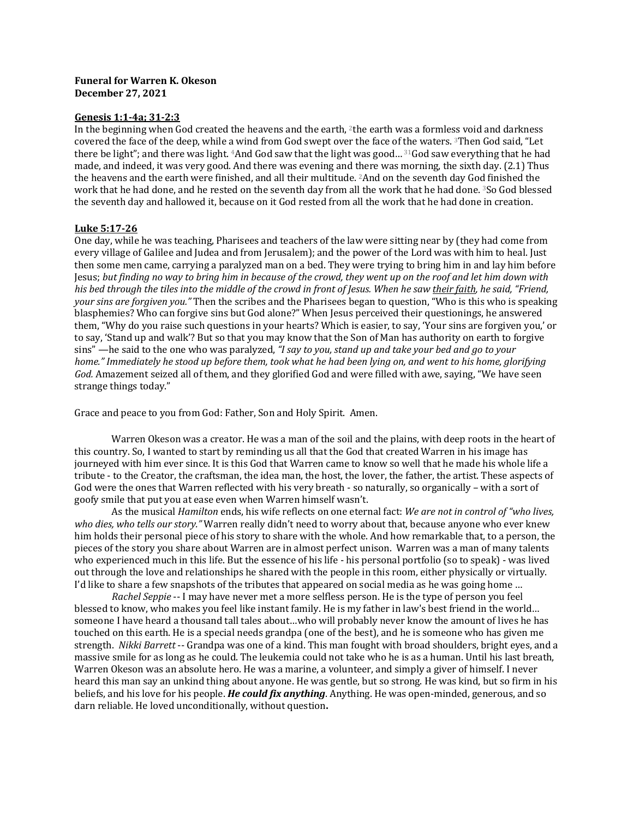## **Funeral for Warren K. Okeson December 27, 2021**

## **Genesis 1:1-4a; 31-2:3**

In the beginning when God created the heavens and the earth, <sup>2</sup>the earth was a formless void and darkness covered the face of the deep, while a wind from God swept over the face of the waters. <sup>3</sup>Then God said, "Let there be light"; and there was light. <sup>4</sup>And God saw that the light was good...<sup>31</sup>God saw everything that he had made, and indeed, it was very good. And there was evening and there was morning, the sixth day. (2.1) Thus the heavens and the earth were finished, and all their multitude. <sup>2</sup>And on the seventh day God finished the work that he had done, and he rested on the seventh day from all the work that he had done. <sup>3</sup>So God blessed the seventh day and hallowed it, because on it God rested from all the work that he had done in creation.

## **Luke 5:17-26**

One day, while he was teaching, Pharisees and teachers of the law were sitting near by (they had come from every village of Galilee and Judea and from Jerusalem); and the power of the Lord was with him to heal. Just then some men came, carrying a paralyzed man on a bed. They were trying to bring him in and lay him before Jesus; but finding no way to bring him in because of the crowd, they went up on the roof and let him down with his bed through the tiles into the middle of the crowd in front of Jesus. When he saw their faith, he said, "Friend, *your sins are forgiven you."* Then the scribes and the Pharisees began to question, "Who is this who is speaking blasphemies? Who can forgive sins but God alone?" When Jesus perceived their questionings, he answered them, "Why do you raise such questions in your hearts? Which is easier, to say, 'Your sins are forgiven you,' or to say, 'Stand up and walk'? But so that you may know that the Son of Man has authority on earth to forgive sins" —he said to the one who was paralyzed, "I say to you, stand up and take your bed and go to your *home."* Immediately he stood up before them, took what he had been lying on, and went to his home, glorifying God. Amazement seized all of them, and they glorified God and were filled with awe, saying, "We have seen strange things today."

Grace and peace to you from God: Father, Son and Holy Spirit. Amen.

Warren Okeson was a creator. He was a man of the soil and the plains, with deep roots in the heart of this country. So, I wanted to start by reminding us all that the God that created Warren in his image has journeved with him ever since. It is this God that Warren came to know so well that he made his whole life a tribute - to the Creator, the craftsman, the idea man, the host, the lover, the father, the artist. These aspects of God were the ones that Warren reflected with his very breath - so naturally, so organically – with a sort of goofy smile that put you at ease even when Warren himself wasn't.

As the musical *Hamilton* ends, his wife reflects on one eternal fact: We are not in control of "who lives, *who dies, who tells our story."* Warren really didn't need to worry about that, because anyone who ever knew him holds their personal piece of his story to share with the whole. And how remarkable that, to a person, the pieces of the story you share about Warren are in almost perfect unison. Warren was a man of many talents who experienced much in this life. But the essence of his life - his personal portfolio (so to speak) - was lived out through the love and relationships he shared with the people in this room, either physically or virtually. I'd like to share a few snapshots of the tributes that appeared on social media as he was going home ...

*Rachel Seppie* -- I may have never met a more selfless person. He is the type of person you feel blessed to know, who makes you feel like instant family. He is my father in law's best friend in the world... someone I have heard a thousand tall tales about...who will probably never know the amount of lives he has touched on this earth. He is a special needs grandpa (one of the best), and he is someone who has given me strength. *Nikki Barrett* -- Grandpa was one of a kind. This man fought with broad shoulders, bright eyes, and a massive smile for as long as he could. The leukemia could not take who he is as a human. Until his last breath, Warren Okeson was an absolute hero. He was a marine, a volunteer, and simply a giver of himself. I never heard this man say an unkind thing about anyone. He was gentle, but so strong. He was kind, but so firm in his beliefs, and his love for his people. *He could fix anything*. Anything. He was open-minded, generous, and so darn reliable. He loved unconditionally, without question.